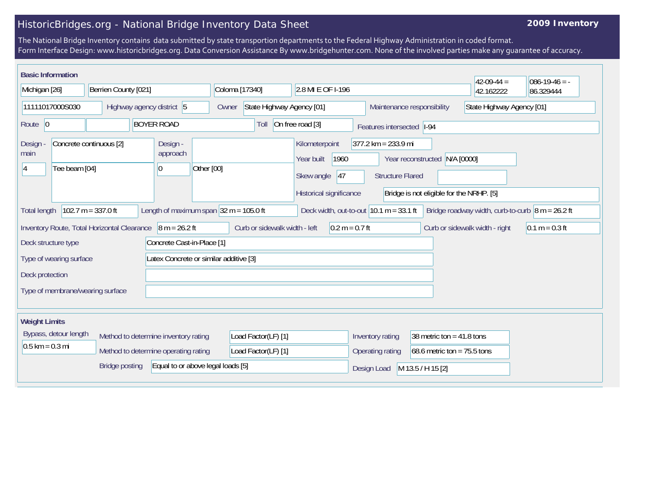## HistoricBridges.org - National Bridge Inventory Data Sheet

## **2009 Inventory**

The National Bridge Inventory contains data submitted by state transportion departments to the Federal Highway Administration in coded format. Form Interface Design: www.historicbridges.org. Data Conversion Assistance By www.bridgehunter.com. None of the involved parties make any guarantee of accuracy.

| <b>Basic Information</b><br>Michigan [26]                                                                                                                                                                                       | Berrien County [021]       |                                                           | Coloma [17340]                     | 2.8 MI E OF I-196                                                                    |                                                                        |                                                        | $42-09-44=$<br>42.162222  | $ 086-19-46 = -$<br>86.329444 |
|---------------------------------------------------------------------------------------------------------------------------------------------------------------------------------------------------------------------------------|----------------------------|-----------------------------------------------------------|------------------------------------|--------------------------------------------------------------------------------------|------------------------------------------------------------------------|--------------------------------------------------------|---------------------------|-------------------------------|
| 11111017000S030                                                                                                                                                                                                                 |                            | Highway agency district 5                                 | State Highway Agency [01]<br>Owner |                                                                                      | Maintenance responsibility                                             |                                                        | State Highway Agency [01] |                               |
| Route 0                                                                                                                                                                                                                         |                            | <b>BOYER ROAD</b>                                         | Toll                               | On free road [3]                                                                     | Features intersected  I-94                                             |                                                        |                           |                               |
| Design -<br>main<br>Tee beam [04]<br>14                                                                                                                                                                                         | Concrete continuous [2]    | Design -<br>approach<br>Other [00]<br>$\overline{0}$      |                                    | Kilometerpoint<br>Year built<br>1960<br> 47<br>Skew angle<br>Historical significance | $377.2$ km = 233.9 mi<br>Year reconstructed<br><b>Structure Flared</b> | N/A [0000]<br>Bridge is not eligible for the NRHP. [5] |                           |                               |
| $102.7 m = 337.0 ft$<br>Deck width, out-to-out $ 10.1 \text{ m} = 33.1 \text{ ft} $<br>Bridge roadway width, curb-to-curb $ 8 m = 26.2 ft$<br>Length of maximum span $ 32 \text{ m} = 105.0 \text{ ft} $<br><b>Total length</b> |                            |                                                           |                                    |                                                                                      |                                                                        |                                                        |                           |                               |
|                                                                                                                                                                                                                                 |                            | Inventory Route, Total Horizontal Clearance 8 m = 26.2 ft | Curb or sidewalk width - left      | $0.2 m = 0.7 ft$                                                                     |                                                                        | Curb or sidewalk width - right                         |                           | $0.1 m = 0.3 ft$              |
| Deck structure type                                                                                                                                                                                                             | Concrete Cast-in-Place [1] |                                                           |                                    |                                                                                      |                                                                        |                                                        |                           |                               |
| Type of wearing surface                                                                                                                                                                                                         |                            | Latex Concrete or similar additive [3]                    |                                    |                                                                                      |                                                                        |                                                        |                           |                               |
| Deck protection                                                                                                                                                                                                                 |                            |                                                           |                                    |                                                                                      |                                                                        |                                                        |                           |                               |
| Type of membrane/wearing surface                                                                                                                                                                                                |                            |                                                           |                                    |                                                                                      |                                                                        |                                                        |                           |                               |
| <b>Weight Limits</b>                                                                                                                                                                                                            |                            |                                                           |                                    |                                                                                      |                                                                        |                                                        |                           |                               |
| Bypass, detour length                                                                                                                                                                                                           |                            | Method to determine inventory rating                      | Load Factor(LF) [1]                |                                                                                      | Inventory rating                                                       | 38 metric ton = $41.8$ tons                            |                           |                               |
| $0.5$ km = 0.3 mi<br>Method to determine operating rating                                                                                                                                                                       |                            | Load Factor(LF) [1]                                       |                                    | Operating rating                                                                     | 68.6 metric ton = $75.5$ tons                                          |                                                        |                           |                               |
|                                                                                                                                                                                                                                 | <b>Bridge posting</b>      | Equal to or above legal loads [5]                         |                                    |                                                                                      | M 13.5 / H 15 [2]<br>Design Load                                       |                                                        |                           |                               |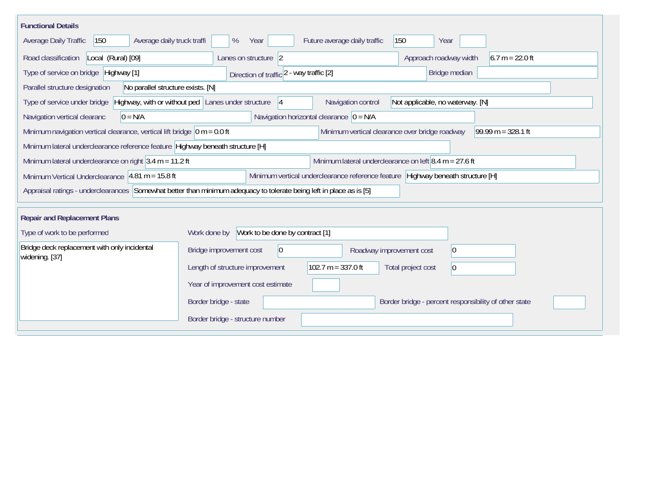| <b>Functional Details</b>                                                                                                                          |                                                 |                                                          |                                                       |  |  |  |  |
|----------------------------------------------------------------------------------------------------------------------------------------------------|-------------------------------------------------|----------------------------------------------------------|-------------------------------------------------------|--|--|--|--|
| Average daily truck traffi<br>Average Daily Traffic<br>150                                                                                         | %<br>Year                                       | Future average daily traffic                             | 150<br>Year                                           |  |  |  |  |
| Road classification<br>Local (Rural) [09]                                                                                                          | Lanes on structure 2                            |                                                          | Approach roadway width<br>$6.7 m = 22.0 ft$           |  |  |  |  |
| Type of service on bridge Highway [1]                                                                                                              | Direction of traffic 2 - way traffic [2]        |                                                          | Bridge median                                         |  |  |  |  |
| No parallel structure exists. [N]<br>Parallel structure designation                                                                                |                                                 |                                                          |                                                       |  |  |  |  |
| Highway, with or without ped Lanes under structure<br>Navigation control<br>Not applicable, no waterway. [N]<br>Type of service under bridge<br> 4 |                                                 |                                                          |                                                       |  |  |  |  |
| $0 = N/A$<br>Navigation vertical clearanc                                                                                                          |                                                 | Navigation horizontal clearance $ 0 = N/A $              |                                                       |  |  |  |  |
| Minimum navigation vertical clearance, vertical lift bridge $\vert$ 0 m = 0.0 ft                                                                   |                                                 | Minimum vertical clearance over bridge roadway           | $99.99 m = 328.1 ft$                                  |  |  |  |  |
| Minimum lateral underclearance reference feature Highway beneath structure [H]                                                                     |                                                 |                                                          |                                                       |  |  |  |  |
| Minimum lateral underclearance on right $3.4$ m = 11.2 ft                                                                                          |                                                 | Minimum lateral underclearance on left $8.4$ m = 27.6 ft |                                                       |  |  |  |  |
| Minimum vertical underclearance reference feature Highway beneath structure [H]<br>Minimum Vertical Underclearance 4.81 m = 15.8 ft                |                                                 |                                                          |                                                       |  |  |  |  |
| Appraisal ratings - underclearances Somewhat better than minimum adequacy to tolerate being left in place as is [5]                                |                                                 |                                                          |                                                       |  |  |  |  |
|                                                                                                                                                    |                                                 |                                                          |                                                       |  |  |  |  |
| <b>Repair and Replacement Plans</b>                                                                                                                |                                                 |                                                          |                                                       |  |  |  |  |
| Type of work to be performed                                                                                                                       | Work to be done by contract [1]<br>Work done by |                                                          |                                                       |  |  |  |  |
| Bridge deck replacement with only incidental<br>widening. [37]                                                                                     | Bridge improvement cost<br> 0                   | Roadway improvement cost                                 | $ 0\rangle$                                           |  |  |  |  |
|                                                                                                                                                    | Length of structure improvement                 | 102.7 m = $337.0$ ft                                     | Total project cost<br>$ 0\rangle$                     |  |  |  |  |
|                                                                                                                                                    | Year of improvement cost estimate               |                                                          |                                                       |  |  |  |  |
|                                                                                                                                                    | Border bridge - state                           |                                                          | Border bridge - percent responsibility of other state |  |  |  |  |
|                                                                                                                                                    | Border bridge - structure number                |                                                          |                                                       |  |  |  |  |